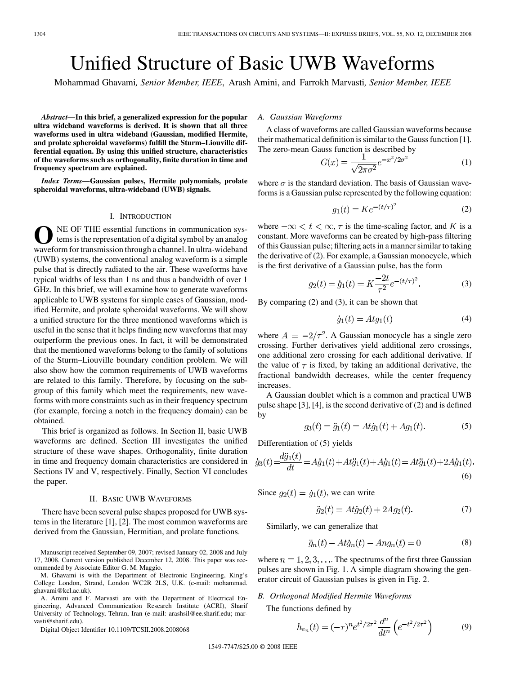# Unified Structure of Basic UWB Waveforms

Mohammad Ghavami*, Senior Member, IEEE*, Arash Amini, and Farrokh Marvasti*, Senior Member, IEEE*

*Abstract—***In this brief, a generalized expression for the popular ultra wideband waveforms is derived. It is shown that all three waveforms used in ultra wideband (Gaussian, modified Hermite, and prolate spheroidal waveforms) fulfill the Sturm–Liouville differential equation. By using this unified structure, characteristics of the waveforms such as orthogonality, finite duration in time and frequency spectrum are explained.**

*Index Terms—***Gaussian pulses, Hermite polynomials, prolate spheroidal waveforms, ultra-wideband (UWB) signals.**

#### I. INTRODUCTION

**O**NE OF THE essential functions in communication systems is the representation of a digital symbol by an analog waveform for transmission through a channel. In ultra-wideband (UWB) systems, the conventional analog waveform is a simple pulse that is directly radiated to the air. These waveforms have typical widths of less than 1 ns and thus a bandwidth of over 1 GHz. In this brief, we will examine how to generate waveforms applicable to UWB systems for simple cases of Gaussian, modified Hermite, and prolate spheroidal waveforms. We will show a unified structure for the three mentioned waveforms which is useful in the sense that it helps finding new waveforms that may outperform the previous ones. In fact, it will be demonstrated that the mentioned waveforms belong to the family of solutions of the Sturm–Liouville boundary condition problem. We will also show how the common requirements of UWB waveforms are related to this family. Therefore, by focusing on the subgroup of this family which meet the requirements, new waveforms with more constraints such as in their frequency spectrum (for example, forcing a notch in the frequency domain) can be obtained.

This brief is organized as follows. In Section II, basic UWB waveforms are defined. Section III investigates the unified structure of these wave shapes. Orthogonality, finite duration in time and frequency domain characteristics are considered in Sections IV and V, respectively. Finally, Section VI concludes the paper.

#### II. BASIC UWB WAVEFORMS

There have been several pulse shapes proposed for UWB systems in the literature [1], [2]. The most common waveforms are derived from the Gaussian, Hermitian, and prolate functions.

Manuscript received September 09, 2007; revised January 02, 2008 and July 17, 2008. Current version published December 12, 2008. This paper was recommended by Associate Editor G. M. Maggio.

A. Amini and F. Marvasti are with the Department of Electrical Engineering, Advanced Communication Research Institute (ACRI), Sharif University of Technology, Tehran, Iran (e-mail: arashsil@ee.sharif.edu; marvasti@sharif.edu).

Digital Object Identifier 10.1109/TCSII.2008.2008068

## *A. Gaussian Waveforms*

A class of waveforms are called Gaussian waveforms because their mathematical definition is similar to the Gauss function [1]. The zero-mean Gauss function is described by

$$
G(x) = \frac{1}{\sqrt{2\pi\sigma^2}} e^{-x^2/2\sigma^2}
$$
 (1)

where  $\sigma$  is the standard deviation. The basis of Gaussian waveforms is a Gaussian pulse represented by the following equation:

$$
g_1(t) = Ke^{-(t/\tau)^2}
$$
 (2)

where  $-\infty < t < \infty$ ,  $\tau$  is the time-scaling factor, and K is a constant. More waveforms can be created by high-pass filtering of this Gaussian pulse; filtering acts in a manner similar to taking the derivative of (2). For example, a Gaussian monocycle, which is the first derivative of a Gaussian pulse, has the form

$$
g_2(t) = \dot{g}_1(t) = K \frac{-2t}{\tau^2} e^{-(t/\tau)^2}.
$$
 (3)

By comparing (2) and (3), it can be shown that

$$
\dot{g}_1(t) = Atg_1(t) \tag{4}
$$

where  $A = -2/\tau^2$ . A Gaussian monocycle has a single zero crossing. Further derivatives yield additional zero crossings, one additional zero crossing for each additional derivative. If the value of  $\tau$  is fixed, by taking an additional derivative, the fractional bandwidth decreases, while the center frequency increases.

A Gaussian doublet which is a common and practical UWB pulse shape [3], [4], is the second derivative of (2) and is defined by

$$
g_3(t) = \ddot{g}_1(t) = At\dot{g}_1(t) + Ag_1(t). \tag{5}
$$

Differentiation of (5) yields

$$
\dot{g}_3(t) = \frac{d\ddot{g}_1(t)}{dt} = A\dot{g}_1(t) + At\ddot{g}_1(t) + A\dot{g}_1(t) = At\ddot{g}_1(t) + 2A\dot{g}_1(t).
$$
\n(6)

Since  $q_2(t) = \dot{q}_1(t)$ , we can write

$$
\ddot{g}_2(t) = At\dot{g}_2(t) + 2Ag_2(t). \tag{7}
$$

Similarly, we can generalize that

$$
\ddot{g}_n(t) - At\dot{g}_n(t) - Ang_n(t) = 0 \tag{8}
$$

where  $n = 1, 2, 3, \dots$  The spectrums of the first three Gaussian pulses are shown in Fig. 1. A simple diagram showing the generator circuit of Gaussian pulses is given in Fig. 2.

### *B. Orthogonal Modified Hermite Waveforms*

The functions defined by

$$
h_{e_n}(t) = (-\tau)^n e^{t^2/2\tau^2} \frac{d^n}{dt^n} \left( e^{-t^2/2\tau^2} \right)
$$
 (9)

M. Ghavami is with the Department of Electronic Engineering, King's College London, Strand, London WC2R 2LS, U.K. (e-mail: mohammad. ghavami@kcl.ac.uk).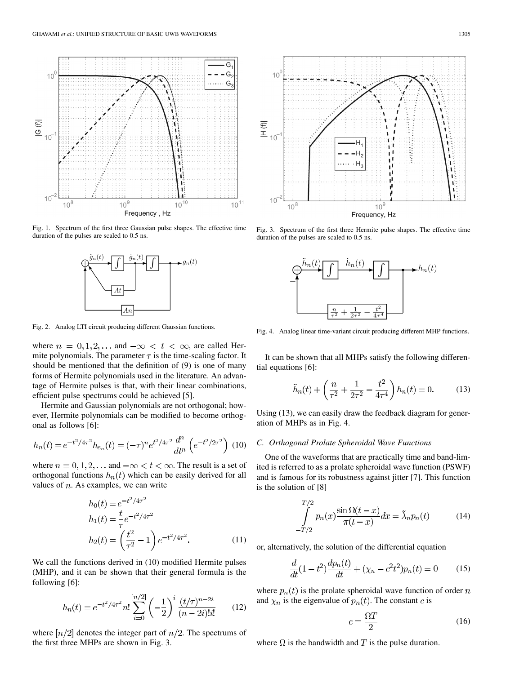

Fig. 1. Spectrum of the first three Gaussian pulse shapes. The effective time duration of the pulses are scaled to 0.5 ns.



Fig. 2. Analog LTI circuit producing different Gaussian functions.

where  $n = 0, 1, 2, \dots$  and  $-\infty < t < \infty$ , are called Hermite polynomials. The parameter  $\tau$  is the time-scaling factor. It should be mentioned that the definition of (9) is one of many forms of Hermite polynomials used in the literature. An advantage of Hermite pulses is that, with their linear combinations, efficient pulse spectrums could be achieved [5].

Hermite and Gaussian polynomials are not orthogonal; however, Hermite polynomials can be modified to become orthogonal as follows [6]:

$$
h_n(t) = e^{-t^2/4\tau^2} h_{e_n}(t) = (-\tau)^n e^{t^2/4\tau^2} \frac{d^n}{dt^n} \left( e^{-t^2/2\tau^2} \right) (10)
$$

where  $n = 0, 1, 2, \dots$  and  $-\infty < t < \infty$ . The result is a set of orthogonal functions  $h_n(t)$  which can be easily derived for all values of  $n$ . As examples, we can write

$$
h_0(t) = e^{-t^2/4\tau^2}
$$
  
\n
$$
h_1(t) = \frac{t}{\tau}e^{-t^2/4\tau^2}
$$
  
\n
$$
h_2(t) = \left(\frac{t^2}{\tau^2} - 1\right)e^{-t^2/4\tau^2}.
$$
\n(11)

We call the functions derived in (10) modified Hermite pulses (MHP), and it can be shown that their general formula is the following [6]:

$$
h_n(t) = e^{-t^2/4\tau^2} n! \sum_{i=0}^{\lfloor n/2 \rfloor} \left( -\frac{1}{2} \right)^i \frac{(t/\tau)^{n-2i}}{(n-2i)!i!}
$$
 (12)

where  $\lceil n/2 \rceil$  denotes the integer part of  $n/2$ . The spectrums of the first three MHPs are shown in Fig. 3.



Fig. 3. Spectrum of the first three Hermite pulse shapes. The effective time duration of the pulses are scaled to 0.5 ns.



Fig. 4. Analog linear time-variant circuit producing different MHP functions.

It can be shown that all MHPs satisfy the following differential equations [6]:

$$
\ddot{h}_n(t) + \left(\frac{n}{\tau^2} + \frac{1}{2\tau^2} - \frac{t^2}{4\tau^4}\right) h_n(t) = 0.
$$
 (13)

Using (13), we can easily draw the feedback diagram for generation of MHPs as in Fig. 4.

#### *C. Orthogonal Prolate Spheroidal Wave Functions*

One of the waveforms that are practically time and band-limited is referred to as a prolate spheroidal wave function (PSWF) and is famous for its robustness against jitter [7]. This function is the solution of [8]

$$
\int_{-T/2}^{T/2} p_n(x) \frac{\sin \Omega(t-x)}{\pi(t-x)} dx = \tilde{\lambda}_n p_n(t) \tag{14}
$$

or, alternatively, the solution of the differential equation

$$
\frac{d}{dt}(1-t^2)\frac{dp_n(t)}{dt} + (\chi_n - c^2t^2)p_n(t) = 0 \tag{15}
$$

where  $p_n(t)$  is the prolate spheroidal wave function of order n and  $\chi_n$  is the eigenvalue of  $p_n(t)$ . The constant c is

$$
c = \frac{\Omega T}{2} \tag{16}
$$

where  $\Omega$  is the bandwidth and T is the pulse duration.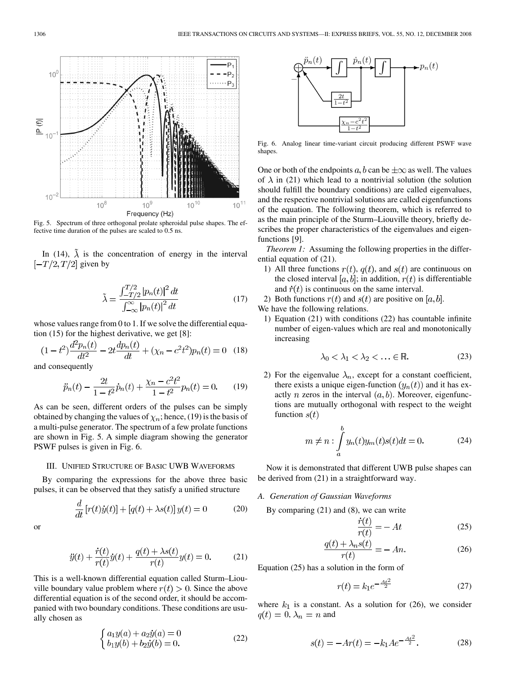

Fig. 5. Spectrum of three orthogonal prolate spheroidal pulse shapes. The effective time duration of the pulses are scaled to 0.5 ns.

In (14),  $\lambda$  is the concentration of energy in the interval  $[-T/2, T/2]$  given by

$$
\tilde{\lambda} = \frac{\int_{-T/2}^{T/2} |p_n(t)|^2 dt}{\int_{-\infty}^{\infty} |p_n(t)|^2 dt}
$$
\n(17)

whose values range from 0 to 1. If we solve the differential equation (15) for the highest derivative, we get [8]:

$$
(1-t^2)\frac{d^2p_n(t)}{dt^2} - 2t\frac{dp_n(t)}{dt} + (\chi_n - c^2t^2)p_n(t) = 0
$$
 (18)

and consequently

$$
\ddot{p}_n(t) - \frac{2t}{1 - t^2} \dot{p}_n(t) + \frac{\chi_n - c^2 t^2}{1 - t^2} p_n(t) = 0.
$$
 (19)

As can be seen, different orders of the pulses can be simply obtained by changing the values of  $\chi_n$ ; hence, (19) is the basis of a multi-pulse generator. The spectrum of a few prolate functions are shown in Fig. 5. A simple diagram showing the generator PSWF pulses is given in Fig. 6.

#### III. UNIFIED STRUCTURE OF BASIC UWB WAVEFORMS

By comparing the expressions for the above three basic pulses, it can be observed that they satisfy a unified structure

$$
\frac{d}{dt}\left[r(t)\dot{y}(t)\right] + \left[q(t) + \lambda s(t)\right]y(t) = 0\tag{20}
$$

or

$$
\ddot{y}(t) + \frac{\dot{r}(t)}{r(t)}\dot{y}(t) + \frac{q(t) + \lambda s(t)}{r(t)}y(t) = 0.
$$
 (21)

This is a well-known differential equation called Sturm–Liouville boundary value problem where  $r(t) > 0$ . Since the above differential equation is of the second order, it should be accompanied with two boundary conditions. These conditions are usually chosen as

$$
\begin{cases}\n a_1 y(a) + a_2 \dot{y}(a) = 0 \\
 b_1 y(b) + b_2 \dot{y}(b) = 0.\n\end{cases}
$$
\n(22)



Fig. 6. Analog linear time-variant circuit producing different PSWF wave shapes.

One or both of the endpoints a, b can be  $\pm \infty$  as well. The values of  $\lambda$  in (21) which lead to a nontrivial solution (the solution should fulfill the boundary conditions) are called eigenvalues, and the respective nontrivial solutions are called eigenfunctions of the equation. The following theorem, which is referred to as the main principle of the Sturm–Liouville theory, briefly describes the proper characteristics of the eigenvalues and eigenfunctions [9].

*Theorem 1:* Assuming the following properties in the differential equation of (21).

- 1) All three functions  $r(t)$ ,  $q(t)$ , and  $s(t)$  are continuous on the closed interval [a, b]; in addition,  $r(t)$  is differentiable and  $\dot{r}(t)$  is continuous on the same interval.
- 2) Both functions  $r(t)$  and  $s(t)$  are positive on [a, b].

We have the following relations.

1) Equation (21) with conditions (22) has countable infinite number of eigen-values which are real and monotonically increasing

$$
\lambda_0 < \lambda_1 < \lambda_2 < \ldots \in \mathbb{R}.\tag{23}
$$

2) For the eigenvalue  $\lambda_n$ , except for a constant coefficient, there exists a unique eigen-function  $(y_n(t))$  and it has exactly *n* zeros in the interval  $(a, b)$ . Moreover, eigenfunctions are mutually orthogonal with respect to the weight function  $s(t)$ 

$$
m \neq n : \int_{a}^{b} y_n(t)y_m(t)s(t)dt = 0.
$$
 (24)

Now it is demonstrated that different UWB pulse shapes can be derived from (21) in a straightforward way.

## *A. Generation of Gaussian Waveforms*

By comparing (21) and (8), we can write

$$
\frac{\dot{r}(t)}{r(t)} = -At\tag{25}
$$

$$
\frac{q(t) + \lambda_n s(t)}{r(t)} = -An.\tag{26}
$$

Equation (25) has a solution in the form of

$$
r(t) = k_1 e^{-\frac{At^2}{2}}
$$
 (27)

where  $k_1$  is a constant. As a solution for (26), we consider  $q(t) = 0, \lambda_n = n$  and

$$
s(t) = -Ar(t) = -k_1 A e^{-\frac{At^2}{2}}.
$$
 (28)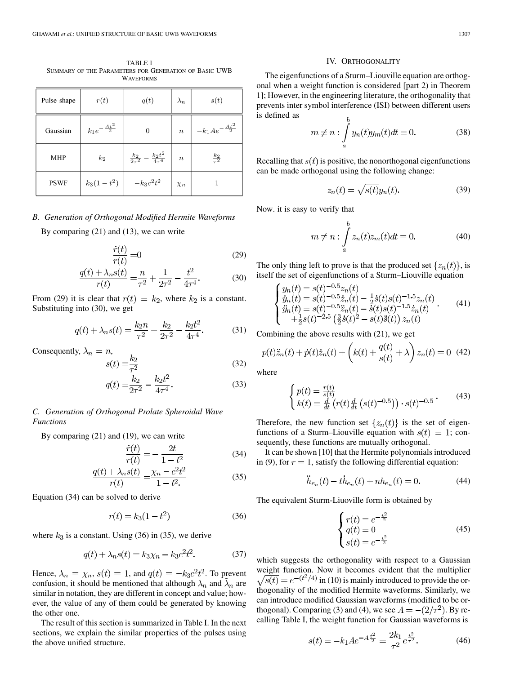TABLE I SUMMARY OF THE PARAMETERS FOR GENERATION OF BASIC UWB WAVEFORMS

| Pulse shape | r(t)                      | q(t)                                           | $\lambda_n$ | s(t)                         |
|-------------|---------------------------|------------------------------------------------|-------------|------------------------------|
| Gaussian    | $k_1 e^{-\frac{At^2}{2}}$ | 0                                              | $\, n$      | $-k_1 A e^{-\frac{At^2}{2}}$ |
| <b>MHP</b>  | $k_2$                     | $\frac{k_2}{2\tau^2} - \frac{k_2t^2}{4\tau^4}$ | $\it{n}$    | $rac{k_2}{\tau^2}$           |
| <b>PSWF</b> | $k_3(1-t^2)$              | $-k_3c^2t^2$                                   | $\chi_n$    |                              |

#### *B. Generation of Orthogonal Modified Hermite Waveforms*

By comparing (21) and (13), we can write

$$
\frac{\dot{r}(t)}{r(t)} = 0\tag{29}
$$

$$
\frac{q(t) + \lambda_n s(t)}{r(t)} = \frac{n}{\tau^2} + \frac{1}{2\tau^2} - \frac{t^2}{4\tau^4}.
$$
 (30)

From (29) it is clear that  $r(t) = k_2$ , where  $k_2$  is a constant. Substituting into (30), we get

$$
q(t) + \lambda_n s(t) = \frac{k_2 n}{\tau^2} + \frac{k_2}{2\tau^2} - \frac{k_2 t^2}{4\tau^4}.
$$
 (31)

Consequently,  $\lambda_n = n$ ,

$$
s(t) = \frac{k_2}{\tau^2}
$$
\n
$$
s(t) = \frac{k_2}{\tau^2}
$$
\n
$$
(32)
$$

$$
q(t) = \frac{k_2}{2\tau^2} - \frac{k_2 t^2}{4\tau^4}.
$$
 (33)

## *C. Generation of Orthogonal Prolate Spheroidal Wave Functions*

By comparing (21) and (19), we can write

$$
\frac{\dot{r}(t)}{r(t)} = -\frac{2t}{1 - t^2} \tag{34}
$$

$$
\frac{q(t) + \lambda_n s(t)}{r(t)} = \frac{\chi_n - c^2 t^2}{1 - t^2} \tag{35}
$$

Equation (34) can be solved to derive

$$
r(t) = k_3(1 - t^2)
$$
 (36)

where  $k_3$  is a constant. Using (36) in (35), we derive

$$
q(t) + \lambda_n s(t) = k_3 \chi_n - k_3 c^2 t^2.
$$
 (37)

Hence,  $\lambda_n = \chi_n$ ,  $s(t) = 1$ , and  $q(t) = -k_3 c^2 t^2$ . To prevent confusion, it should be mentioned that although  $\lambda_n$  and  $\lambda_n$  are similar in notation, they are different in concept and value; however, the value of any of them could be generated by knowing the other one.

The result of this section is summarized in Table I. In the next sections, we explain the similar properties of the pulses using the above unified structure.

#### IV. ORTHOGONALITY

The eigenfunctions of a Sturm–Liouville equation are orthogonal when a weight function is considered [part 2) in Theorem 1]; However, in the engineering literature, the orthogonality that prevents inter symbol interference (ISI) between different users is defined as  $\mathbf{r}$ 

$$
m \neq n : \int_{a}^{b} y_n(t)y_m(t)dt = 0.
$$
 (38)

Recalling that  $s(t)$  is positive, the nonorthogonal eigenfunctions can be made orthogonal using the following change:

$$
z_n(t) = \sqrt{s(t)}y_n(t). \tag{39}
$$

Now. it is easy to verify that

$$
m \neq n : \int_{a}^{b} z_n(t) z_m(t) dt = 0.
$$
 (40)

The only thing left to prove is that the produced set  $\{z_n(t)\}\$ , is itself the set of eigenfunctions of a Sturm–Liouville equation

$$
\begin{cases}\ny_n(t) = s(t)^{-0.5} z_n(t) \\
\dot{y}_n(t) = s(t)^{-0.5} \dot{z}_n(t) - \frac{1}{2} \dot{s}(t) s(t)^{-1.5} z_n(t) \\
\ddot{y}_n(t) = s(t)^{-0.5} \ddot{z}_n(t) - \dot{s}(t) s(t)^{-1.5} \dot{z}_n(t) \\
+\frac{1}{2} s(t)^{-2.5} \left(\frac{3}{2} \dot{s}(t)^2 - s(t) \ddot{s}(t)\right) z_n(t)\n\end{cases} \tag{41}
$$

Combining the above results with (21), we get

$$
p(t)\ddot{z}_n(t) + \dot{p}(t)\dot{z}_n(t) + \left(k(t) + \frac{q(t)}{s(t)} + \lambda\right)z_n(t) = 0
$$
 (42)

where

$$
\begin{cases}\np(t) = \frac{r(t)}{s(t)} \\
k(t) = \frac{d}{dt} \left( r(t) \frac{d}{dt} \left( s(t)^{-0.5} \right) \right) \cdot s(t)^{-0.5} \n\end{cases} \tag{43}
$$

Therefore, the new function set  $\{z_n(t)\}\$ is the set of eigenfunctions of a Sturm–Liouville equation with  $s(t) = 1$ ; consequently, these functions are mutually orthogonal.

It can be shown [10] that the Hermite polynomials introduced in (9), for  $r = 1$ , satisfy the following differential equation:

$$
\ddot{h}_{e_n}(t) - t\dot{h}_{e_n}(t) + nh_{e_n}(t) = 0.
$$
 (44)

The equivalent Sturm-Liuoville form is obtained by

$$
\begin{cases}\nr(t) = e^{-\frac{t^2}{2}} \\
q(t) = 0 \\
s(t) = e^{-\frac{t^2}{2}}\n\end{cases}
$$
\n(45)

which suggests the orthogonality with respect to a Gaussian weight function. Now it becomes evident that the multiplier  $\sqrt{s(t)} = e^{-(t^2/4)}$  in (10) is mainly introduced to provide the orthogonality of the modified Hermite waveforms. Similarly, we can introduce modified Gaussian waveforms (modified to be orthogonal). Comparing (3) and (4), we see  $A = -(2/\tau^2)$ . By recalling Table I, the weight function for Gaussian waveforms is

$$
s(t) = -k_1 A e^{-A\frac{t^2}{2}} = \frac{2k_1}{\tau^2} e^{\frac{t^2}{\tau^2}}.
$$
 (46)